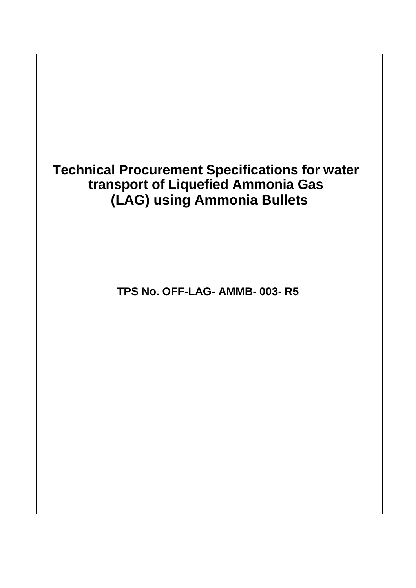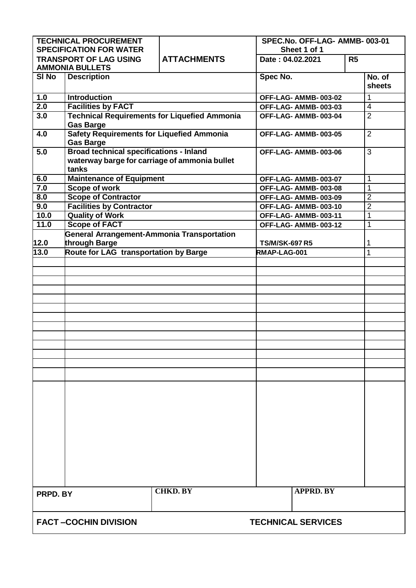| <b>TECHNICAL PROCUREMENT</b>                                    |                                                                                                 |                    | SPEC.No. OFF-LAG- AMMB-003-01 |                |                         |
|-----------------------------------------------------------------|-------------------------------------------------------------------------------------------------|--------------------|-------------------------------|----------------|-------------------------|
| <b>SPECIFICATION FOR WATER</b><br><b>TRANSPORT OF LAG USING</b> |                                                                                                 |                    | Sheet 1 of 1                  |                |                         |
|                                                                 | <b>AMMONIA BULLETS</b>                                                                          | <b>ATTACHMENTS</b> | Date: 04.02.2021              | R <sub>5</sub> |                         |
| SI No                                                           | <b>Description</b>                                                                              |                    | Spec No.                      |                | No. of<br>sheets        |
| 1.0                                                             | <b>Introduction</b>                                                                             |                    | OFF-LAG- AMMB-003-02          |                | 1                       |
| 2.0                                                             | <b>Facilities by FACT</b>                                                                       |                    | OFF-LAG-AMMB-003-03           |                | $\overline{\mathbf{4}}$ |
| 3.0                                                             | <b>Technical Requirements for Liquefied Ammonia</b>                                             |                    | OFF-LAG-AMMB-003-04           |                | $\overline{2}$          |
|                                                                 | <b>Gas Barge</b>                                                                                |                    |                               |                |                         |
| 4.0                                                             | <b>Safety Requirements for Liquefied Ammonia</b><br><b>Gas Barge</b>                            |                    | OFF-LAG-AMMB-003-05           |                | $\overline{2}$          |
| 5.0                                                             | <b>Broad technical specifications - Inland</b><br>waterway barge for carriage of ammonia bullet |                    | OFF-LAG- AMMB-003-06          |                | 3                       |
|                                                                 | tanks                                                                                           |                    |                               |                |                         |
| 6.0                                                             | <b>Maintenance of Equipment</b>                                                                 |                    | OFF-LAG- AMMB-003-07          |                | 1                       |
| 7.0                                                             | <b>Scope of work</b>                                                                            |                    | OFF-LAG- AMMB-003-08          |                | 1                       |
| 8.0                                                             | <b>Scope of Contractor</b>                                                                      |                    | OFF-LAG- AMMB-003-09          |                | $\overline{2}$          |
| 9.0                                                             | <b>Facilities by Contractor</b>                                                                 |                    | OFF-LAG- AMMB-003-10          |                | $\overline{c}$          |
| 10.0                                                            | <b>Quality of Work</b>                                                                          |                    | OFF-LAG-AMMB-003-11           |                | 1                       |
| 11.0                                                            | <b>Scope of FACT</b>                                                                            |                    | OFF-LAG- AMMB-003-12          |                | 1                       |
|                                                                 | <b>General Arrangement-Ammonia Transportation</b>                                               |                    |                               |                |                         |
| 12.0                                                            | through Barge                                                                                   |                    | <b>TS/M/SK-697 R5</b>         |                | 1                       |
| $\overline{13.0}$                                               | <b>Route for LAG transportation by Barge</b>                                                    |                    | RMAP-LAG-001                  |                | 1                       |
|                                                                 |                                                                                                 |                    |                               |                |                         |
|                                                                 |                                                                                                 |                    |                               |                |                         |
|                                                                 |                                                                                                 |                    |                               |                |                         |
|                                                                 |                                                                                                 |                    |                               |                |                         |
|                                                                 |                                                                                                 |                    |                               |                |                         |
|                                                                 |                                                                                                 |                    |                               |                |                         |
|                                                                 |                                                                                                 |                    |                               |                |                         |
|                                                                 |                                                                                                 |                    |                               |                |                         |
|                                                                 |                                                                                                 |                    |                               |                |                         |
|                                                                 |                                                                                                 |                    |                               |                |                         |
|                                                                 |                                                                                                 |                    |                               |                |                         |
|                                                                 |                                                                                                 |                    |                               |                |                         |
|                                                                 |                                                                                                 |                    |                               |                |                         |
|                                                                 |                                                                                                 |                    |                               |                |                         |
|                                                                 |                                                                                                 |                    |                               |                |                         |
|                                                                 |                                                                                                 |                    |                               |                |                         |
|                                                                 |                                                                                                 |                    |                               |                |                         |
|                                                                 |                                                                                                 |                    |                               |                |                         |
|                                                                 |                                                                                                 |                    |                               |                |                         |
|                                                                 |                                                                                                 |                    |                               |                |                         |
|                                                                 |                                                                                                 |                    |                               |                |                         |
|                                                                 |                                                                                                 |                    |                               |                |                         |
|                                                                 |                                                                                                 |                    |                               |                |                         |
|                                                                 |                                                                                                 |                    |                               |                |                         |
| PRPD. BY                                                        |                                                                                                 | <b>CHKD. BY</b>    | <b>APPRD. BY</b>              |                |                         |
|                                                                 |                                                                                                 |                    |                               |                |                         |
|                                                                 |                                                                                                 |                    |                               |                |                         |
| <b>FACT-COCHIN DIVISION</b>                                     |                                                                                                 |                    | <b>TECHNICAL SERVICES</b>     |                |                         |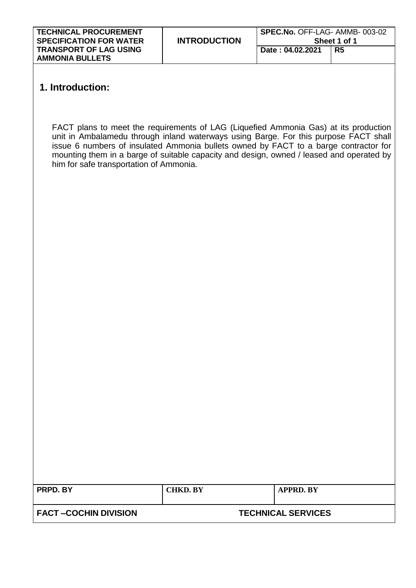| <b>TECHNICAL PROCUREMENT</b><br><b>SPECIFICATION FOR WATER</b> | <b>INTRODUCTION</b> | SPEC.No. OFF-LAG- AMMB-003-02<br>Sheet 1 of 1 |    |  |
|----------------------------------------------------------------|---------------------|-----------------------------------------------|----|--|
| <b>TRANSPORT OF LAG USING</b><br><b>AMMONIA BULLETS</b>        |                     | Date: 04.02.2021                              | R5 |  |

# **1. Introduction:**

FACT plans to meet the requirements of LAG (Liquefied Ammonia Gas) at its production unit in Ambalamedu through inland waterways using Barge. For this purpose FACT shall issue 6 numbers of insulated Ammonia bullets owned by FACT to a barge contractor for mounting them in a barge of suitable capacity and design, owned / leased and operated by him for safe transportation of Ammonia.

| PRPD. BY                    | <b>CHKD. BY</b> | <b>APPRD. BY</b>          |
|-----------------------------|-----------------|---------------------------|
|                             |                 |                           |
| <b>FACT-COCHIN DIVISION</b> |                 | <b>TECHNICAL SERVICES</b> |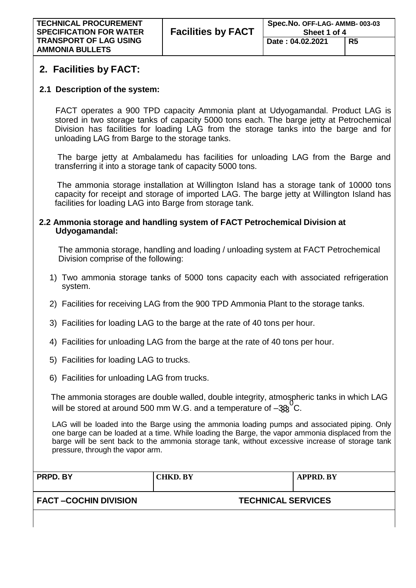# **2. Facilities by FACT:**

# **2.1 Description of the system:**

FACT operates a 900 TPD capacity Ammonia plant at Udyogamandal. Product LAG is stored in two storage tanks of capacity 5000 tons each. The barge jetty at Petrochemical Division has facilities for loading LAG from the storage tanks into the barge and for unloading LAG from Barge to the storage tanks.

The barge jetty at Ambalamedu has facilities for unloading LAG from the Barge and transferring it into a storage tank of capacity 5000 tons.

The ammonia storage installation at Willington Island has a storage tank of 10000 tons capacity for receipt and storage of imported LAG. The barge jetty at Willington Island has facilities for loading LAG into Barge from storage tank.

## **2.2 Ammonia storage and handling system of FACT Petrochemical Division at Udyogamandal:**

The ammonia storage, handling and loading / unloading system at FACT Petrochemical Division comprise of the following:

- 1) Two ammonia storage tanks of 5000 tons capacity each with associated refrigeration system.
- 2) Facilities for receiving LAG from the 900 TPD Ammonia Plant to the storage tanks.
- 3) Facilities for loading LAG to the barge at the rate of 40 tons per hour.
- 4) Facilities for unloading LAG from the barge at the rate of 40 tons per hour.
- 5) Facilities for loading LAG to trucks.
- 6) Facilities for unloading LAG from trucks.

The ammonia storages are double walled, double integrity, atmospheric tanks in which LAG will be stored at around 500 mm W.G. and a temperature of  $-333^{\circ}$ C.

LAG will be loaded into the Barge using the ammonia loading pumps and associated piping. Only one barge can be loaded at a time. While loading the Barge, the vapor ammonia displaced from the barge will be sent back to the ammonia storage tank, without excessive increase of storage tank pressure, through the vapor arm.

| PRPD. BY | $\mathbf{R}\mathbf{V}$<br>. н | $\mathbf{P}\mathbf{V}$ |
|----------|-------------------------------|------------------------|
|          |                               |                        |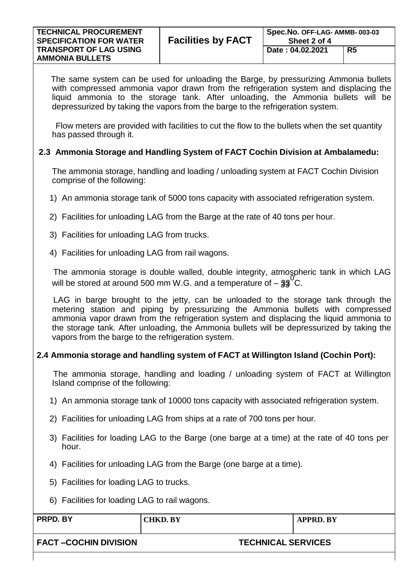| <b>TECHNICAL PROCUREMENT</b><br><b>SPECIFICATION FOR WATER</b> | <b>Facilities by FACT</b> | Spec.No. OFF-LAG- AMMB-003-03<br>Sheet 2 of 4 |    |  |
|----------------------------------------------------------------|---------------------------|-----------------------------------------------|----|--|
| <b>TRANSPORT OF LAG USING</b><br><b>AMMONIA BULLETS</b>        |                           | Date: 04.02.2021                              | R5 |  |

The same system can be used for unloading the Barge, by pressurizing Ammonia bullets with compressed ammonia vapor drawn from the refrigeration system and displacing the liquid ammonia to the storage tank. After unloading, the Ammonia bullets will be depressurized by taking the vapors from the barge to the refrigeration system.

Flow meters are provided with facilities to cut the flow to the bullets when the set quantity has passed through it.

## **2.3 Ammonia Storage and Handling System of FACT Cochin Division at Ambalamedu:**

The ammonia storage, handling and loading / unloading system at FACT Cochin Division comprise of the following:

- 1) An ammonia storage tank of 5000 tons capacity with associated refrigeration system.
- 2) Facilities for unloading LAG from the Barge at the rate of 40 tons per hour.
- 3) Facilities for unloading LAG from trucks.
- 4) Facilities for unloading LAG from rail wagons.

The ammonia storage is double walled, double integrity, atmospheric tank in which LAG will be stored at around 500 mm W.G. and a temperature of  $-33^\circ$ C.

LAG in barge brought to the jetty, can be unloaded to the storage tank through the metering station and piping by pressurizing the Ammonia bullets with compressed ammonia vapor drawn from the refrigeration system and displacing the liquid ammonia to the storage tank. After unloading, the Ammonia bullets will be depressurized by taking the vapors from the barge to the refrigeration system.

### **2.4 Ammonia storage and handling system of FACT at Willington Island (Cochin Port):**

The ammonia storage, handling and loading / unloading system of FACT at Willington Island comprise of the following:

- 1) An ammonia storage tank of 10000 tons capacity with associated refrigeration system.
- 2) Facilities for unloading LAG from ships at a rate of 700 tons per hour.
- 3) Facilities for loading LAG to the Barge (one barge at a time) at the rate of 40 tons per hour.
- 4) Facilities for unloading LAG from the Barge (one barge at a time).
- 5) Facilities for loading LAG to trucks.
- 6) Facilities for loading LAG to rail wagons.

| PRPD. BY                    | <b>CHKD. BY</b>           | APPRD. BY |
|-----------------------------|---------------------------|-----------|
| <b>FACT-COCHIN DIVISION</b> | <b>TECHNICAL SERVICES</b> |           |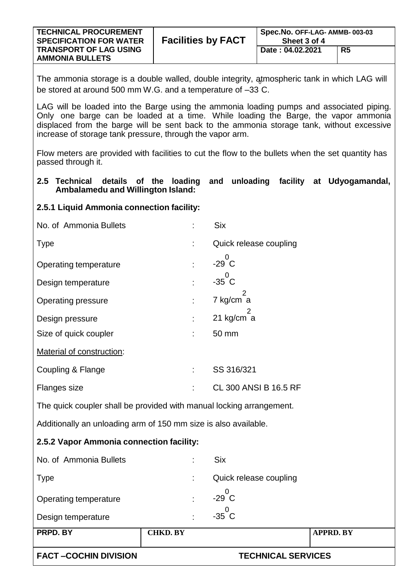| <b>TECHNICAL PROCUREMENT</b><br><b>SPECIFICATION FOR WATER</b> | <b>Facilities by FACT</b> | Spec.No. OFF-LAG- AMMB-003-03<br>Sheet 3 of 4 |    |  |
|----------------------------------------------------------------|---------------------------|-----------------------------------------------|----|--|
| <b>TRANSPORT OF LAG USING</b><br><b>AMMONIA BULLETS</b>        |                           | Date: 04.02.2021                              | R5 |  |

The ammonia storage is a double walled, double integrity, ątmospheric tank in which LAG will be stored at around 500 mm W.G. and a temperature of –33 C.

LAG will be loaded into the Barge using the ammonia loading pumps and associated piping. Only one barge can be loaded at a time. While loading the Barge, the vapor ammonia displaced from the barge will be sent back to the ammonia storage tank, without excessive increase of storage tank pressure, through the vapor arm.

Flow meters are provided with facilities to cut the flow to the bullets when the set quantity has passed through it.

#### **2.5 Technical details of the loading and unloading facility at Udyogamandal, Ambalamedu and Willington Island:**

### **2.5.1 Liquid Ammonia connection facility:**

| No. of Ammonia Bullets                                               |                 | <b>Six</b>                |                  |
|----------------------------------------------------------------------|-----------------|---------------------------|------------------|
| <b>Type</b>                                                          |                 | Quick release coupling    |                  |
| <b>Operating temperature</b>                                         |                 | 0<br>$-29$ C              |                  |
| Design temperature                                                   |                 | 0<br>$-35$ C              |                  |
| <b>Operating pressure</b>                                            |                 | 2<br>7 kg/cm a            |                  |
| Design pressure                                                      |                 | 21 kg/cm a                |                  |
| Size of quick coupler                                                |                 | 50 mm                     |                  |
| Material of construction:                                            |                 |                           |                  |
| Coupling & Flange                                                    | t               | SS 316/321                |                  |
| Flanges size                                                         |                 | CL 300 ANSI B 16.5 RF     |                  |
| The quick coupler shall be provided with manual locking arrangement. |                 |                           |                  |
| Additionally an unloading arm of 150 mm size is also available.      |                 |                           |                  |
| 2.5.2 Vapor Ammonia connection facility:                             |                 |                           |                  |
| No. of Ammonia Bullets                                               |                 | <b>Six</b>                |                  |
| <b>Type</b>                                                          |                 | Quick release coupling    |                  |
| Operating temperature                                                | t               | 0<br>$-29$ $C$            |                  |
| Design temperature                                                   |                 | $-35\overset{0}{\circ}$ C |                  |
| PRPD. BY                                                             | <b>CHKD. BY</b> |                           | <b>APPRD. BY</b> |
| <b>FACT-COCHIN DIVISION</b>                                          |                 | <b>TECHNICAL SERVICES</b> |                  |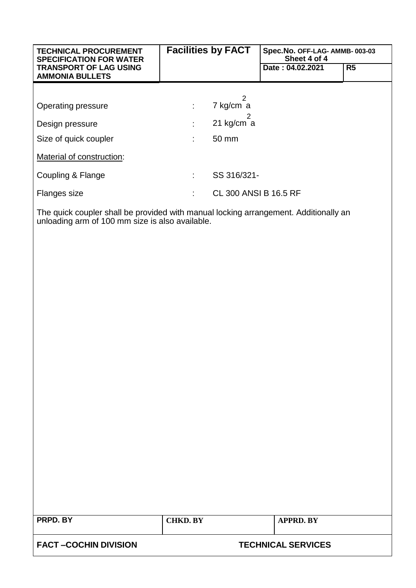| <b>TECHNICAL PROCUREMENT</b><br><b>SPECIFICATION FOR WATER</b> |    | <b>Facilities by FACT</b>    | Spec.No. OFF-LAG- AMMB-003-03<br>Sheet 4 of 4                                                                                                                                                                                     |                |
|----------------------------------------------------------------|----|------------------------------|-----------------------------------------------------------------------------------------------------------------------------------------------------------------------------------------------------------------------------------|----------------|
| <b>TRANSPORT OF LAG USING</b><br><b>AMMONIA BULLETS</b>        |    |                              | Date: 04.02.2021                                                                                                                                                                                                                  | R <sub>5</sub> |
|                                                                |    |                              |                                                                                                                                                                                                                                   |                |
| Operating pressure                                             | ÷. | 7 kg/cm a                    |                                                                                                                                                                                                                                   |                |
| Design pressure                                                | ÷. | 21 kg/cm $a$                 |                                                                                                                                                                                                                                   |                |
| Size of quick coupler                                          | ÷  | 50 mm                        |                                                                                                                                                                                                                                   |                |
| Material of construction:                                      |    |                              |                                                                                                                                                                                                                                   |                |
| Coupling & Flange                                              | ÷  | SS 316/321-                  |                                                                                                                                                                                                                                   |                |
| Flanges size                                                   | ÷  | <b>CL 300 ANSI B 16.5 RF</b> |                                                                                                                                                                                                                                   |                |
|                                                                |    |                              | $\mathbf{r}$ , and the contract of the contract of the contract of the contract of the contract of the contract of the contract of the contract of the contract of the contract of the contract of the contract of the contract o |                |

The quick coupler shall be provided with manual locking arrangement. Additionally an unloading arm of 100 mm size is also available.

| <b>PRPD. BY</b>             | CHKD. BY | APPRD. BY                 |
|-----------------------------|----------|---------------------------|
| <b>FACT-COCHIN DIVISION</b> |          | <b>TECHNICAL SERVICES</b> |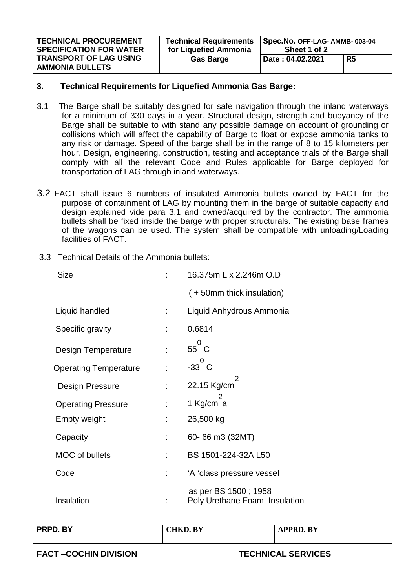| <b>TECHNICAL PROCUREMENT</b>                            | <b>Technical Requirements</b> | Spec.No. OFF-LAG- AMMB-003-04 |                |  |
|---------------------------------------------------------|-------------------------------|-------------------------------|----------------|--|
| <b>SPECIFICATION FOR WATER</b>                          | for Liquefied Ammonia         | Sheet 1 of 2                  |                |  |
| <b>TRANSPORT OF LAG USING</b><br><b>AMMONIA BULLETS</b> | <b>Gas Barge</b>              | Date: 04.02.2021              | R <sub>5</sub> |  |

#### **3. Technical Requirements for Liquefied Ammonia Gas Barge:**

- 3.1 The Barge shall be suitably designed for safe navigation through the inland waterways for a minimum of 330 days in a year. Structural design, strength and buoyancy of the Barge shall be suitable to with stand any possible damage on account of grounding or collisions which will affect the capability of Barge to float or expose ammonia tanks to any risk or damage. Speed of the barge shall be in the range of 8 to 15 kilometers per hour. Design, engineering, construction, testing and acceptance trials of the Barge shall comply with all the relevant Code and Rules applicable for Barge deployed for transportation of LAG through inland waterways.
- 3.2 FACT shall issue 6 numbers of insulated Ammonia bullets owned by FACT for the purpose of containment of LAG by mounting them in the barge of suitable capacity and design explained vide para 3.1 and owned/acquired by the contractor. The ammonia bullets shall be fixed inside the barge with proper structurals. The existing base frames of the wagons can be used. The system shall be compatible with unloading/Loading facilities of FACT.
- 3.3 Technical Details of the Ammonia bullets:

| PRPD. BY                     | <b>CHKD. BY</b> |                                                       | <b>APPRD. BY</b> |
|------------------------------|-----------------|-------------------------------------------------------|------------------|
|                              |                 |                                                       |                  |
| Insulation                   | ÷.              | as per BS 1500; 1958<br>Poly Urethane Foam Insulation |                  |
| Code                         | ÷               | 'A 'class pressure vessel                             |                  |
| <b>MOC</b> of bullets        | t               | BS 1501-224-32A L50                                   |                  |
| Capacity                     | t.              | 60-66 m3 (32MT)                                       |                  |
| Empty weight                 | t.              | 26,500 kg                                             |                  |
| <b>Operating Pressure</b>    | t.              | 1 Kg/cm a                                             |                  |
| <b>Design Pressure</b>       | ÷               | 22.15 Kg/cm                                           |                  |
| <b>Operating Temperature</b> | ł.              | $-33^{0}$ C<br>2                                      |                  |
| <b>Design Temperature</b>    | ÷               | $55^{0}$ C                                            |                  |
| Specific gravity             | ÷               | 0.6814                                                |                  |
| Liquid handled               | ÷.              | Liquid Anhydrous Ammonia                              |                  |
|                              |                 | (+50mm thick insulation)                              |                  |
| <b>Size</b>                  | ۰               | 16.375m L x 2.246m O.D                                |                  |
|                              |                 |                                                       |                  |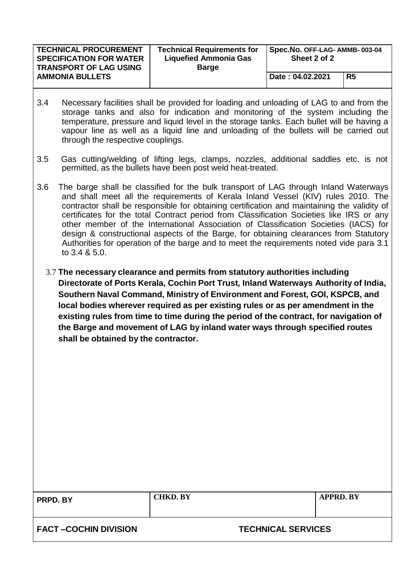| <b>TECHNICAL PROCUREMENT</b><br><b>SPECIFICATION FOR WATER</b><br><b>TRANSPORT OF LAG USING</b> | <b>Technical Requirements for</b><br><b>Liquefied Ammonia Gas</b><br><b>Barge</b> | Spec.No. OFF-LAG- AMMB-003-04<br>Sheet 2 of 2 |                |
|-------------------------------------------------------------------------------------------------|-----------------------------------------------------------------------------------|-----------------------------------------------|----------------|
| <b>AMMONIA BULLETS</b>                                                                          |                                                                                   | Date: 04.02.2021                              | R <sub>5</sub> |

- 3.4 Necessary facilities shall be provided for loading and unloading of LAG to and from the storage tanks and also for indication and monitoring of the system including the temperature, pressure and liquid level in the storage tanks. Each bullet will be having a vapour line as well as a liquid line and unloading of the bullets will be carried out through the respective couplings.
- 3.5 Gas cutting/welding of lifting legs, clamps, nozzles, additional saddles etc. is not permitted, as the bullets have been post weld heat-treated.
- 3.6 The barge shall be classified for the bulk transport of LAG through Inland Waterways and shall meet all the requirements of Kerala Inland Vessel (KIV) rules 2010. The contractor shall be responsible for obtaining certification and maintaining the validity of certificates for the total Contract period from Classification Societies like IRS or any other member of the International Association of Classification Societies (IACS) for design & constructional aspects of the Barge, for obtaining clearances from Statutory Authorities for operation of the barge and to meet the requirements noted vide para 3.1 to 3.4 & 5.0.
	- 3.7 **The necessary clearance and permits from statutory authorities including Directorate of Ports Kerala, Cochin Port Trust, Inland Waterways Authority of India, Southern Naval Command, Ministry of Environment and Forest, GOI, KSPCB, and local bodies wherever required as per existing rules or as per amendment in the existing rules from time to time during the period of the contract, for navigation of the Barge and movement of LAG by inland water ways through specified routes shall be obtained by the contractor.**

**PRPD. BY CHKD. BY APPRD. BY**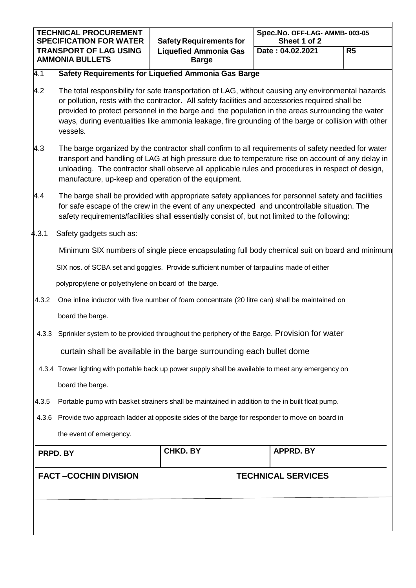| <b>TECHNICAL PROCUREMENT</b><br><b>SPECIFICATION FOR WATER</b> | <b>Safety Requirements for</b>               | Spec.No. OFF-LAG- AMMB-003-05<br>Sheet 1 of 2 |                |
|----------------------------------------------------------------|----------------------------------------------|-----------------------------------------------|----------------|
| <b>TRANSPORT OF LAG USING</b><br><b>AMMONIA BULLETS</b>        | <b>Liquefied Ammonia Gas</b><br><b>Barge</b> | Date: 04.02.2021                              | R <sub>5</sub> |

#### 4.1 **Safety Requirements for Liquefied Ammonia Gas Barge**

- $4.2$  The total responsibility for safe transportation of LAG, without causing any environmental hazards or pollution, rests with the contractor. All safety facilities and accessories required shall be provided to protect personnel in the barge and the population in the areas surrounding the water ways, during eventualities like ammonia leakage, fire grounding of the barge or collision with other vessels.
- 4.3 The barge organized by the contractor shall confirm to all requirements of safety needed for water transport and handling of LAG at high pressure due to temperature rise on account of any delay in unloading. The contractor shall observe all applicable rules and procedures in respect of design, manufacture, up-keep and operation of the equipment.
- 4.4 The barge shall be provided with appropriate safety appliances for personnel safety and facilities for safe escape of the crew in the event of any unexpected and uncontrollable situation. The safety requirements/facilities shall essentially consist of, but not limited to the following:
- 4.3.1 Safety gadgets such as:

Minimum SIX numbers of single piece encapsulating full body chemical suit on board and minimum

SIX nos. of SCBA set and goggles. Provide sufficient number of tarpaulins made of either

polypropylene or polyethylene on board of the barge.

- 4.3.2 One inline inductor with five number of foam concentrate (20 litre can) shall be maintained on board the barge.
- 4.3.3 Sprinkler system to be provided throughout the periphery of the Barge. Provision for water

curtain shall be available in the barge surrounding each bullet dome

- 4.3.4 Tower lighting with portable back up power supply shall be available to meet any emergency on board the barge.
- 4.3.5 Portable pump with basket strainers shall be maintained in addition to the in built float pump.
- 4.3.6 Provide two approach ladder at opposite sides of the barge for responder to move on board in the event of emergency.

| PRPD. BY                    | <b>CHKD. BY</b> | <b>APPRD. BY</b>          |
|-----------------------------|-----------------|---------------------------|
| <b>FACT-COCHIN DIVISION</b> |                 | <b>TECHNICAL SERVICES</b> |
|                             |                 |                           |
|                             |                 |                           |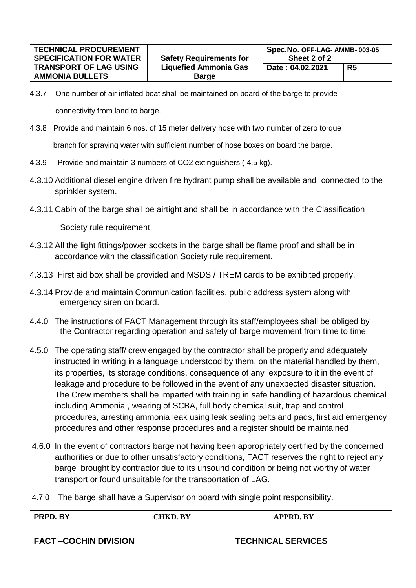| <b>TECHNICAL PROCUREMENT</b><br><b>SPECIFICATION FOR WATER</b>                                                                                                                                                                                                                                                                                                                                                                                                                                                                                                                                                                                                                                                                         |                                                                                                                                                                                                                                                                                                                                                           | <b>Safety Requirements for</b>                                                                                                                                | Spec.No. OFF-LAG- AMMB-003-05<br>Sheet 2 of 2 |                |
|----------------------------------------------------------------------------------------------------------------------------------------------------------------------------------------------------------------------------------------------------------------------------------------------------------------------------------------------------------------------------------------------------------------------------------------------------------------------------------------------------------------------------------------------------------------------------------------------------------------------------------------------------------------------------------------------------------------------------------------|-----------------------------------------------------------------------------------------------------------------------------------------------------------------------------------------------------------------------------------------------------------------------------------------------------------------------------------------------------------|---------------------------------------------------------------------------------------------------------------------------------------------------------------|-----------------------------------------------|----------------|
|                                                                                                                                                                                                                                                                                                                                                                                                                                                                                                                                                                                                                                                                                                                                        | <b>TRANSPORT OF LAG USING</b>                                                                                                                                                                                                                                                                                                                             | <b>Liquefied Ammonia Gas</b>                                                                                                                                  | Date: 04.02.2021                              | R <sub>5</sub> |
|                                                                                                                                                                                                                                                                                                                                                                                                                                                                                                                                                                                                                                                                                                                                        | <b>AMMONIA BULLETS</b>                                                                                                                                                                                                                                                                                                                                    | <b>Barge</b>                                                                                                                                                  |                                               |                |
| 4.3.7                                                                                                                                                                                                                                                                                                                                                                                                                                                                                                                                                                                                                                                                                                                                  | One number of air inflated boat shall be maintained on board of the barge to provide                                                                                                                                                                                                                                                                      |                                                                                                                                                               |                                               |                |
|                                                                                                                                                                                                                                                                                                                                                                                                                                                                                                                                                                                                                                                                                                                                        | connectivity from land to barge.                                                                                                                                                                                                                                                                                                                          |                                                                                                                                                               |                                               |                |
| 4.3.8                                                                                                                                                                                                                                                                                                                                                                                                                                                                                                                                                                                                                                                                                                                                  |                                                                                                                                                                                                                                                                                                                                                           | Provide and maintain 6 nos. of 15 meter delivery hose with two number of zero torque                                                                          |                                               |                |
|                                                                                                                                                                                                                                                                                                                                                                                                                                                                                                                                                                                                                                                                                                                                        |                                                                                                                                                                                                                                                                                                                                                           | branch for spraying water with sufficient number of hose boxes on board the barge.                                                                            |                                               |                |
| 4.3.9                                                                                                                                                                                                                                                                                                                                                                                                                                                                                                                                                                                                                                                                                                                                  |                                                                                                                                                                                                                                                                                                                                                           | Provide and maintain 3 numbers of CO2 extinguishers (4.5 kg).                                                                                                 |                                               |                |
|                                                                                                                                                                                                                                                                                                                                                                                                                                                                                                                                                                                                                                                                                                                                        | sprinkler system.                                                                                                                                                                                                                                                                                                                                         | 4.3.10 Additional diesel engine driven fire hydrant pump shall be available and connected to the                                                              |                                               |                |
|                                                                                                                                                                                                                                                                                                                                                                                                                                                                                                                                                                                                                                                                                                                                        |                                                                                                                                                                                                                                                                                                                                                           | 4.3.11 Cabin of the barge shall be airtight and shall be in accordance with the Classification                                                                |                                               |                |
|                                                                                                                                                                                                                                                                                                                                                                                                                                                                                                                                                                                                                                                                                                                                        | Society rule requirement                                                                                                                                                                                                                                                                                                                                  |                                                                                                                                                               |                                               |                |
|                                                                                                                                                                                                                                                                                                                                                                                                                                                                                                                                                                                                                                                                                                                                        |                                                                                                                                                                                                                                                                                                                                                           | 4.3.12 All the light fittings/power sockets in the barge shall be flame proof and shall be in<br>accordance with the classification Society rule requirement. |                                               |                |
|                                                                                                                                                                                                                                                                                                                                                                                                                                                                                                                                                                                                                                                                                                                                        |                                                                                                                                                                                                                                                                                                                                                           | 4.3.13 First aid box shall be provided and MSDS / TREM cards to be exhibited properly.                                                                        |                                               |                |
|                                                                                                                                                                                                                                                                                                                                                                                                                                                                                                                                                                                                                                                                                                                                        | 4.3.14 Provide and maintain Communication facilities, public address system along with<br>emergency siren on board.                                                                                                                                                                                                                                       |                                                                                                                                                               |                                               |                |
|                                                                                                                                                                                                                                                                                                                                                                                                                                                                                                                                                                                                                                                                                                                                        | 4.4.0 The instructions of FACT Management through its staff/employees shall be obliged by<br>the Contractor regarding operation and safety of barge movement from time to time.                                                                                                                                                                           |                                                                                                                                                               |                                               |                |
| 4.5.0 The operating staff/crew engaged by the contractor shall be properly and adequately<br>instructed in writing in a language understood by them, on the material handled by them,<br>its properties, its storage conditions, consequence of any exposure to it in the event of<br>leakage and procedure to be followed in the event of any unexpected disaster situation.<br>The Crew members shall be imparted with training in safe handling of hazardous chemical<br>including Ammonia, wearing of SCBA, full body chemical suit, trap and control<br>procedures, arresting ammonia leak using leak sealing belts and pads, first aid emergency<br>procedures and other response procedures and a register should be maintained |                                                                                                                                                                                                                                                                                                                                                           |                                                                                                                                                               |                                               |                |
|                                                                                                                                                                                                                                                                                                                                                                                                                                                                                                                                                                                                                                                                                                                                        | 4.6.0 In the event of contractors barge not having been appropriately certified by the concerned<br>authorities or due to other unsatisfactory conditions, FACT reserves the right to reject any<br>barge brought by contractor due to its unsound condition or being not worthy of water<br>transport or found unsuitable for the transportation of LAG. |                                                                                                                                                               |                                               |                |
| 4.7.0                                                                                                                                                                                                                                                                                                                                                                                                                                                                                                                                                                                                                                                                                                                                  | The barge shall have a Supervisor on board with single point responsibility.                                                                                                                                                                                                                                                                              |                                                                                                                                                               |                                               |                |
|                                                                                                                                                                                                                                                                                                                                                                                                                                                                                                                                                                                                                                                                                                                                        | PRPD. BY                                                                                                                                                                                                                                                                                                                                                  | <b>CHKD. BY</b>                                                                                                                                               | <b>APPRD. BY</b>                              |                |
|                                                                                                                                                                                                                                                                                                                                                                                                                                                                                                                                                                                                                                                                                                                                        | <b>FACT-COCHIN DIVISION</b><br><b>TECHNICAL SERVICES</b>                                                                                                                                                                                                                                                                                                  |                                                                                                                                                               |                                               |                |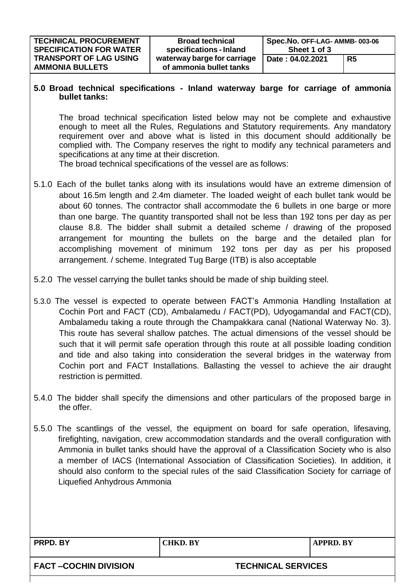#### **5.0 Broad technical specifications - Inland waterway barge for carriage of ammonia bullet tanks:**

The broad technical specification listed below may not be complete and exhaustive enough to meet all the Rules, Regulations and Statutory requirements. Any mandatory requirement over and above what is listed in this document should additionally be complied with. The Company reserves the right to modify any technical parameters and specifications at any time at their discretion.

The broad technical specifications of the vessel are as follows:

- 5.1.0 Each of the bullet tanks along with its insulations would have an extreme dimension of about 16.5m length and 2.4m diameter. The loaded weight of each bullet tank would be about 60 tonnes. The contractor shall accommodate the 6 bullets in one barge or more than one barge. The quantity transported shall not be less than 192 tons per day as per clause 8.8. The bidder shall submit a detailed scheme / drawing of the proposed arrangement for mounting the bullets on the barge and the detailed plan for accomplishing movement of minimum 192 tons per day as per his proposed arrangement. / scheme. Integrated Tug Barge (ITB) is also acceptable
- 5.2.0 The vessel carrying the bullet tanks should be made of ship building steel.
- 5.3.0 The vessel is expected to operate between FACT's Ammonia Handling Installation at Cochin Port and FACT (CD), Ambalamedu / FACT(PD), Udyogamandal and FACT(CD), Ambalamedu taking a route through the Champakkara canal (National Waterway No. 3). This route has several shallow patches. The actual dimensions of the vessel should be such that it will permit safe operation through this route at all possible loading condition and tide and also taking into consideration the several bridges in the waterway from Cochin port and FACT Installations. Ballasting the vessel to achieve the air draught restriction is permitted.
- 5.4.0 The bidder shall specify the dimensions and other particulars of the proposed barge in the offer.
- 5.5.0 The scantlings of the vessel, the equipment on board for safe operation, lifesaving, firefighting, navigation, crew accommodation standards and the overall configuration with Ammonia in bullet tanks should have the approval of a Classification Society who is also a member of IACS (International Association of Classification Societies). In addition, it should also conform to the special rules of the said Classification Society for carriage of Liquefied Anhydrous Ammonia

**PRPD. BY CHKD. BY APPRD. BY**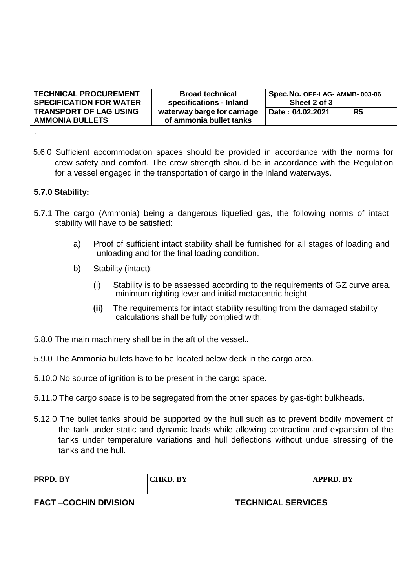| <b>TECHNICAL PROCUREMENT</b><br><b>SPECIFICATION FOR WATER</b> | <b>Broad technical</b><br>specifications - Inland      | Spec.No. OFF-LAG- AMMB-003-06<br>Sheet 2 of 3 |                |
|----------------------------------------------------------------|--------------------------------------------------------|-----------------------------------------------|----------------|
| <b>TRANSPORT OF LAG USING</b><br><b>AMMONIA BULLETS</b>        | waterway barge for carriage<br>of ammonia bullet tanks | Date: 04.02.2021                              | R <sub>5</sub> |
|                                                                |                                                        |                                               |                |

5.6.0 Sufficient accommodation spaces should be provided in accordance with the norms for crew safety and comfort. The crew strength should be in accordance with the Regulation for a vessel engaged in the transportation of cargo in the Inland waterways.

## **5.7.0 Stability:**

- 5.7.1 The cargo (Ammonia) being a dangerous liquefied gas, the following norms of intact stability will have to be satisfied:
	- a) Proof of sufficient intact stability shall be furnished for all stages of loading and unloading and for the final loading condition.
	- b) Stability (intact):
		- (i) Stability is to be assessed according to the requirements of GZ curve area, minimum righting lever and initial metacentric height
		- **(ii)** The requirements for intact stability resulting from the damaged stability calculations shall be fully complied with.
- 5.8.0 The main machinery shall be in the aft of the vessel..
- 5.9.0 The Ammonia bullets have to be located below deck in the cargo area.
- 5.10.0 No source of ignition is to be present in the cargo space.
- 5.11.0 The cargo space is to be segregated from the other spaces by gas-tight bulkheads.
- 5.12.0 The bullet tanks should be supported by the hull such as to prevent bodily movement of the tank under static and dynamic loads while allowing contraction and expansion of the tanks under temperature variations and hull deflections without undue stressing of the tanks and the hull.

| PRPD. BY              | <b>CHKD. BY</b> | APPRD. BY                 |
|-----------------------|-----------------|---------------------------|
| FACT –COCHIN DIVISION |                 | <b>TECHNICAL SERVICES</b> |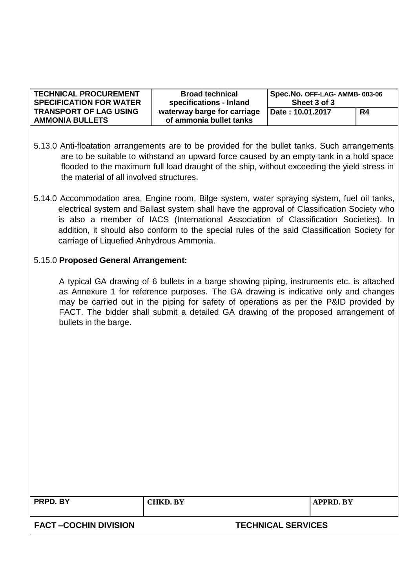| <b>TECHNICAL PROCUREMENT</b>                            | <b>Broad technical</b>                                 | Spec.No. OFF-LAG- AMMB-003-06 |    |
|---------------------------------------------------------|--------------------------------------------------------|-------------------------------|----|
| <b>SPECIFICATION FOR WATER</b>                          | specifications - Inland                                | Sheet 3 of 3                  |    |
| <b>TRANSPORT OF LAG USING</b><br><b>AMMONIA BULLETS</b> | waterway barge for carriage<br>of ammonia bullet tanks | Date: 10.01.2017              | R4 |

- 5.13.0 Anti-floatation arrangements are to be provided for the bullet tanks. Such arrangements are to be suitable to withstand an upward force caused by an empty tank in a hold space flooded to the maximum full load draught of the ship, without exceeding the yield stress in the material of all involved structures.
- 5.14.0 Accommodation area, Engine room, Bilge system, water spraying system, fuel oil tanks, electrical system and Ballast system shall have the approval of Classification Society who is also a member of IACS (International Association of Classification Societies). In addition, it should also conform to the special rules of the said Classification Society for carriage of Liquefied Anhydrous Ammonia.

### 5.15.0 **Proposed General Arrangement:**

A typical GA drawing of 6 bullets in a barge showing piping, instruments etc. is attached as Annexure 1 for reference purposes. The GA drawing is indicative only and changes may be carried out in the piping for safety of operations as per the P&ID provided by FACT. The bidder shall submit a detailed GA drawing of the proposed arrangement of bullets in the barge.

| PRPD. BY                    | <b>CHKD. BY</b>           | APPRD. BY |
|-----------------------------|---------------------------|-----------|
| <b>FACT-COCHIN DIVISION</b> | <b>TECHNICAL SERVICES</b> |           |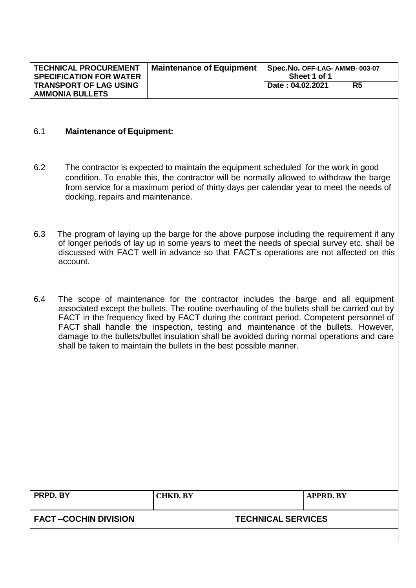| <b>TECHNICAL PROCUREMENT</b><br><b>SPECIFICATION FOR WATER</b> | <b>Maintenance of Equipment</b> | Spec.No. OFF-LAG- AMMB-003-07<br>Sheet 1 of 1 |  |
|----------------------------------------------------------------|---------------------------------|-----------------------------------------------|--|
| <b>TRANSPORT OF LAG USING</b><br><b>AMMONIA BULLETS</b>        |                                 | R5<br>Date: 04.02.2021                        |  |

#### 6.1 **Maintenance of Equipment:**

- 6.2 The contractor is expected to maintain the equipment scheduled for the work in good condition. To enable this, the contractor will be normally allowed to withdraw the barge from service for a maximum period of thirty days per calendar year to meet the needs of docking, repairs and maintenance.
- 6.3 The program of laying up the barge for the above purpose including the requirement if any of longer periods of lay up in some years to meet the needs of special survey etc. shall be discussed with FACT well in advance so that FACT's operations are not affected on this account.
- 6.4 The scope of maintenance for the contractor includes the barge and all equipment associated except the bullets. The routine overhauling of the bullets shall be carried out by FACT in the frequency fixed by FACT during the contract period. Competent personnel of FACT shall handle the inspection, testing and maintenance of the bullets. However, damage to the bullets/bullet insulation shall be avoided during normal operations and care shall be taken to maintain the bullets in the best possible manner.

| PRPD. BY                    | <b>CHKD. BY</b>           | <b>APPRD. BY</b> |
|-----------------------------|---------------------------|------------------|
| <b>FACT-COCHIN DIVISION</b> | <b>TECHNICAL SERVICES</b> |                  |
|                             |                           |                  |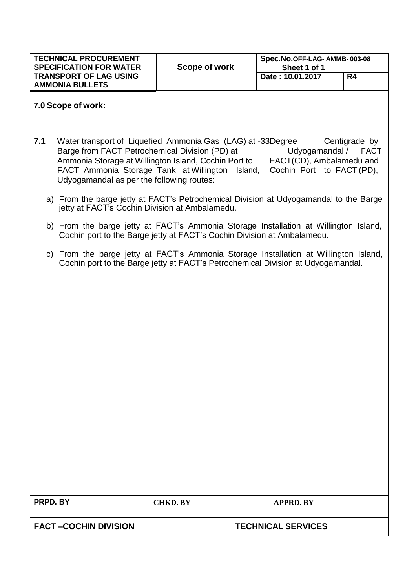| <b>TECHNICAL PROCUREMENT</b><br><b>SPECIFICATION FOR WATER</b><br><b>TRANSPORT OF LAG USING</b><br><b>AMMONIA BULLETS</b> | Scope of work | Spec.No.OFF-LAG-AMMB-003-08<br>Sheet 1 of 1<br>Date: 10.01.2017 | R4 |
|---------------------------------------------------------------------------------------------------------------------------|---------------|-----------------------------------------------------------------|----|
|                                                                                                                           |               |                                                                 |    |

### **7.0 Scope of work:**

- **7.1** Water transport of Liquefied Ammonia Gas (LAG) at -33Degree Centigrade by Barge from FACT Petrochemical Division (PD) at Udyogamandal / FACT Ammonia Storage at Willington Island, Cochin Port to FACT(CD), Ambalamedu and FACT Ammonia Storage Tank at Willington Island, Cochin Port to FACT (PD), Udyogamandal as per the following routes:
	- a) From the barge jetty at FACT's Petrochemical Division at Udyogamandal to the Barge jetty at FACT's Cochin Division at Ambalamedu.
	- b) From the barge jetty at FACT's Ammonia Storage Installation at Willington Island, Cochin port to the Barge jetty at FACT's Cochin Division at Ambalamedu.
	- c) From the barge jetty at FACT's Ammonia Storage Installation at Willington Island, Cochin port to the Barge jetty at FACT's Petrochemical Division at Udyogamandal.

| <b>PRPD. BY</b>       | <b>CHKD. BY</b>           | <b>APPRD. BY</b> |  |
|-----------------------|---------------------------|------------------|--|
|                       |                           |                  |  |
| FACT –COCHIN DIVISION | <b>TECHNICAL SERVICES</b> |                  |  |
|                       |                           |                  |  |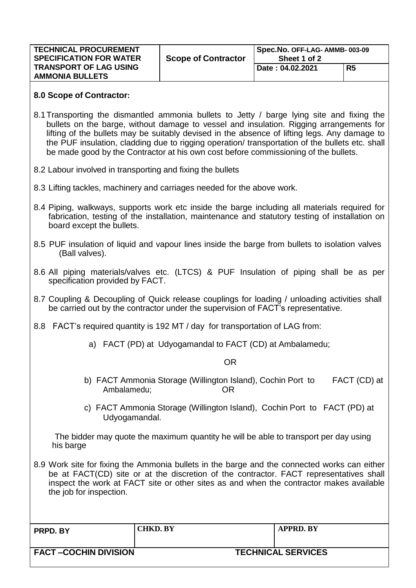| <b>TECHNICAL PROCUREMENT</b><br><b>SPECIFICATION FOR WATER</b> | <b>Scope of Contractor</b> | Spec.No. OFF-LAG- AMMB-003-09<br>Sheet 1 of 2 |                |
|----------------------------------------------------------------|----------------------------|-----------------------------------------------|----------------|
| <b>TRANSPORT OF LAG USING</b><br><b>AMMONIA BULLETS</b>        |                            | Date: 04.02.2021                              | R <sub>5</sub> |

#### **8.0 Scope of Contractor:**

- 8.1Transporting the dismantled ammonia bullets to Jetty / barge lying site and fixing the bullets on the barge, without damage to vessel and insulation. Rigging arrangements for lifting of the bullets may be suitably devised in the absence of lifting legs. Any damage to the PUF insulation, cladding due to rigging operation/ transportation of the bullets etc. shall be made good by the Contractor at his own cost before commissioning of the bullets.
- 8.2 Labour involved in transporting and fixing the bullets
- 8.3 Lifting tackles, machinery and carriages needed for the above work.
- 8.4 Piping, walkways, supports work etc inside the barge including all materials required for fabrication, testing of the installation, maintenance and statutory testing of installation on board except the bullets.
- 8.5 PUF insulation of liquid and vapour lines inside the barge from bullets to isolation valves (Ball valves).
- 8.6 All piping materials/valves etc. (LTCS) & PUF Insulation of piping shall be as per specification provided by FACT.
- 8.7 Coupling & Decoupling of Quick release couplings for loading / unloading activities shall be carried out by the contractor under the supervision of FACT's representative.
- 8.8 FACT's required quantity is 192 MT / day for transportation of LAG from:
	- a) FACT (PD) at Udyogamandal to FACT (CD) at Ambalamedu;

OR

- b) FACT Ammonia Storage (Willington Island), Cochin Port to FACT (CD) at Ambalamedu; OR
- c) FACT Ammonia Storage (Willington Island), Cochin Port to FACT (PD) at Udyogamandal.

The bidder may quote the maximum quantity he will be able to transport per day using his barge

8.9 Work site for fixing the Ammonia bullets in the barge and the connected works can either be at FACT(CD) site or at the discretion of the contractor. FACT representatives shall inspect the work at FACT site or other sites as and when the contractor makes available the job for inspection.

| <b>PRPD. BY</b>             | <b>CHKD. BY</b> |                           | APPRD. BY |
|-----------------------------|-----------------|---------------------------|-----------|
| <b>FACT-COCHIN DIVISION</b> |                 | <b>TECHNICAL SERVICES</b> |           |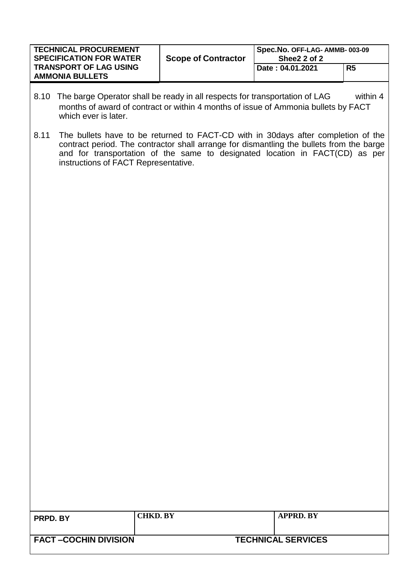| <b>TECHNICAL PROCUREMENT</b><br><b>SPECIFICATION FOR WATER</b> | <b>Scope of Contractor</b> | Spec.No. OFF-LAG- AMMB-003-09<br>Shee2 2 of 2 |    |
|----------------------------------------------------------------|----------------------------|-----------------------------------------------|----|
| <b>TRANSPORT OF LAG USING</b><br><b>AMMONIA BULLETS</b>        |                            | Date: 04.01.2021                              | R5 |

- 8.10 The barge Operator shall be ready in all respects for transportation of LAG within 4 months of award of contract or within 4 months of issue of Ammonia bullets by FACT which ever is later.
- 8.11 The bullets have to be returned to FACT-CD with in 30days after completion of the contract period. The contractor shall arrange for dismantling the bullets from the barge and for transportation of the same to designated location in FACT(CD) as per instructions of FACT Representative.

| <b>PRPD. BY</b>             | <b>CHKD. BY</b> |                           | <b>APPRD. BY</b> |
|-----------------------------|-----------------|---------------------------|------------------|
| <b>FACT-COCHIN DIVISION</b> |                 | <b>TECHNICAL SERVICES</b> |                  |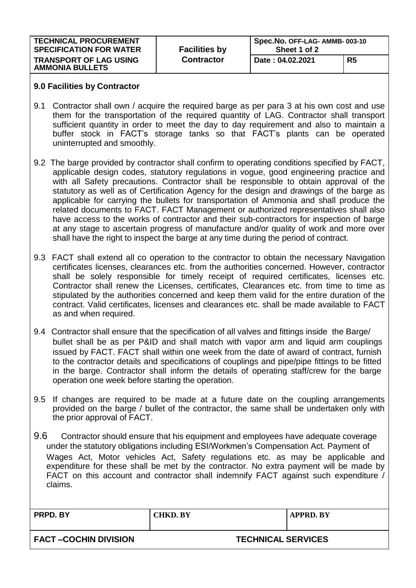| <b>TECHNICAL PROCUREMENT</b><br><b>SPECIFICATION FOR WATER</b> | <b>Facilities by</b> | Spec.No. OFF-LAG- AMMB-003-10<br>Sheet 1 of 2 |    |
|----------------------------------------------------------------|----------------------|-----------------------------------------------|----|
| <b>TRANSPORT OF LAG USING</b><br><b>AMMONIA BULLETS</b>        | <b>Contractor</b>    | Date: 04.02.2021                              | R5 |

#### **9.0 Facilities by Contractor**

- 9.1 Contractor shall own / acquire the required barge as per para 3 at his own cost and use them for the transportation of the required quantity of LAG. Contractor shall transport sufficient quantity in order to meet the day to day requirement and also to maintain a buffer stock in FACT's storage tanks so that FACT's plants can be operated uninterrupted and smoothly.
- 9.2 The barge provided by contractor shall confirm to operating conditions specified by FACT, applicable design codes, statutory regulations in vogue, good engineering practice and with all Safety precautions. Contractor shall be responsible to obtain approval of the statutory as well as of Certification Agency for the design and drawings of the barge as applicable for carrying the bullets for transportation of Ammonia and shall produce the related documents to FACT. FACT Management or authorized representatives shall also have access to the works of contractor and their sub-contractors for inspection of barge at any stage to ascertain progress of manufacture and/or quality of work and more over shall have the right to inspect the barge at any time during the period of contract.
- 9.3 FACT shall extend all co operation to the contractor to obtain the necessary Navigation certificates licenses, clearances etc. from the authorities concerned. However, contractor shall be solely responsible for timely receipt of required certificates, licenses etc. Contractor shall renew the Licenses, certificates, Clearances etc. from time to time as stipulated by the authorities concerned and keep them valid for the entire duration of the contract. Valid certificates, licenses and clearances etc. shall be made available to FACT as and when required.
- 9.4 Contractor shall ensure that the specification of all valves and fittings inside the Barge/ bullet shall be as per P&ID and shall match with vapor arm and liquid arm couplings issued by FACT. FACT shall within one week from the date of award of contract, furnish to the contractor details and specifications of couplings and pipe/pipe fittings to be fitted in the barge. Contractor shall inform the details of operating staff/crew for the barge operation one week before starting the operation.
- 9.5 If changes are required to be made at a future date on the coupling arrangements provided on the barge / bullet of the contractor, the same shall be undertaken only with the prior approval of FACT.
- 9.6 Contractor should ensure that his equipment and employees have adequate coverage under the statutory obligations including ESI/Workmen's Compensation Act. Payment of Wages Act, Motor vehicles Act, Safety regulations etc. as may be applicable and expenditure for these shall be met by the contractor. No extra payment will be made by FACT on this account and contractor shall indemnify FACT against such expenditure / claims.

| <b>PRPD. BY</b>      | <b>CHKD. BY</b>           | <b>APPRD. BY</b> |
|----------------------|---------------------------|------------------|
| FACT-COCHIN DIVISION | <b>TECHNICAL SERVICES</b> |                  |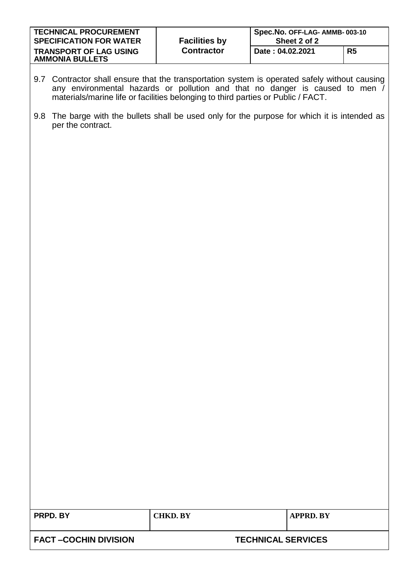| <b>TECHNICAL PROCUREMENT</b><br><b>SPECIFICATION FOR WATER</b> | <b>Facilities by</b> | Spec.No. OFF-LAG- AMMB-003-10<br>Sheet 2 of 2 |    |
|----------------------------------------------------------------|----------------------|-----------------------------------------------|----|
| <b>TRANSPORT OF LAG USING</b><br><b>AMMONIA BULLETS</b>        | <b>Contractor</b>    | Date: 04.02.2021                              | R5 |

- 9.7 Contractor shall ensure that the transportation system is operated safely without causing any environmental hazards or pollution and that no danger is caused to men / materials/marine life or facilities belonging to third parties or Public / FACT.
- 9.8 The barge with the bullets shall be used only for the purpose for which it is intended as per the contract.

| PRPD. BY                    | <b>CHKD. BY</b>           | APPRD. BY |
|-----------------------------|---------------------------|-----------|
| <b>FACT-COCHIN DIVISION</b> | <b>TECHNICAL SERVICES</b> |           |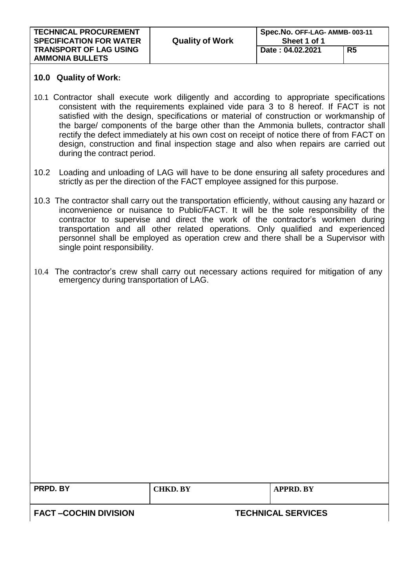| <b>TECHNICAL PROCUREMENT</b><br><b>SPECIFICATION FOR WATER</b> | <b>Quality of Work</b> | Spec.No. OFF-LAG- AMMB-003-11<br>Sheet 1 of 1 |    |
|----------------------------------------------------------------|------------------------|-----------------------------------------------|----|
| <b>TRANSPORT OF LAG USING</b><br><b>AMMONIA BULLETS</b>        |                        | Date: 04.02.2021                              | R5 |

### **10.0 Quality of Work:**

- 10.1 Contractor shall execute work diligently and according to appropriate specifications consistent with the requirements explained vide para 3 to 8 hereof. If FACT is not satisfied with the design, specifications or material of construction or workmanship of the barge/ components of the barge other than the Ammonia bullets, contractor shall rectify the defect immediately at his own cost on receipt of notice there of from FACT on design, construction and final inspection stage and also when repairs are carried out during the contract period.
- 10.2 Loading and unloading of LAG will have to be done ensuring all safety procedures and strictly as per the direction of the FACT employee assigned for this purpose.
- 10.3 The contractor shall carry out the transportation efficiently, without causing any hazard or inconvenience or nuisance to Public/FACT. It will be the sole responsibility of the contractor to supervise and direct the work of the contractor's workmen during transportation and all other related operations. Only qualified and experienced personnel shall be employed as operation crew and there shall be a Supervisor with single point responsibility.
- 10.4 The contractor's crew shall carry out necessary actions required for mitigation of any emergency during transportation of LAG.

| PRPD. BY              | <b>CHKD. BY</b> | <b>APPRD. BY</b>          |
|-----------------------|-----------------|---------------------------|
| FACT –COCHIN DIVISION |                 | <b>TECHNICAL SERVICES</b> |
|                       |                 |                           |